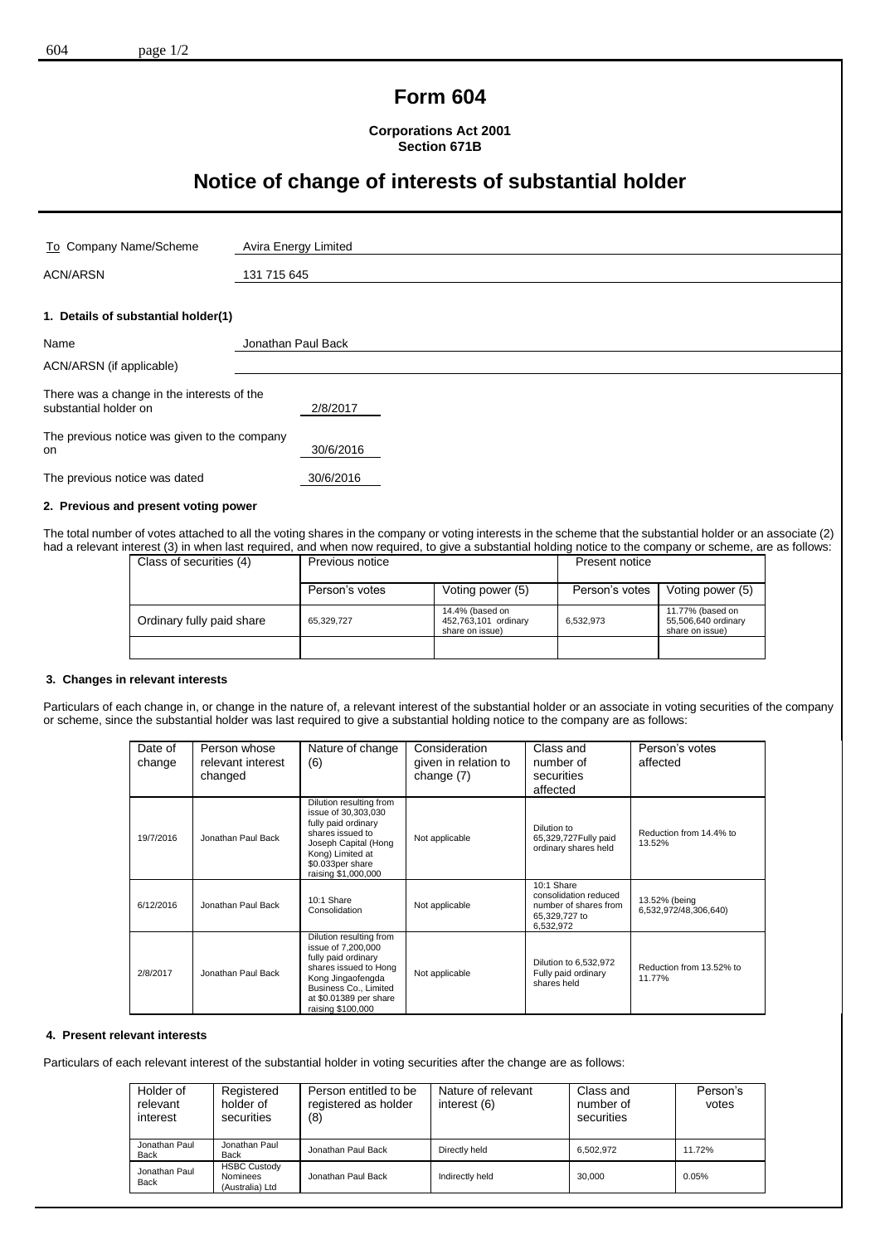# **Form 604**

**Corporations Act 2001 Section 671B**

# **Notice of change of interests of substantial holder**

| To Company Name/Scheme                                              | Avira Energy Limited |
|---------------------------------------------------------------------|----------------------|
| <b>ACN/ARSN</b>                                                     | 131 715 645          |
| 1. Details of substantial holder(1)                                 |                      |
| Name                                                                | Jonathan Paul Back   |
| ACN/ARSN (if applicable)                                            |                      |
| There was a change in the interests of the<br>substantial holder on | 2/8/2017             |
| The previous notice was given to the company<br>on                  | 30/6/2016            |
| The previous notice was dated                                       | 30/6/2016            |
|                                                                     |                      |

## **2. Previous and present voting power**

The total number of votes attached to all the voting shares in the company or voting interests in the scheme that the substantial holder or an associate (2) had a relevant interest (3) in when last required, and when now required, to give a substantial holding notice to the company or scheme, are as follows:

| Class of securities (4)   | Previous notice |                                                            | Present notice |                                                            |
|---------------------------|-----------------|------------------------------------------------------------|----------------|------------------------------------------------------------|
|                           | Person's votes  | Voting power (5)                                           | Person's votes | Voting power (5)                                           |
| Ordinary fully paid share | 65,329,727      | 14.4% (based on<br>452,763,101 ordinary<br>share on issue) | 6,532,973      | 11.77% (based on<br>55,506,640 ordinary<br>share on issue) |
|                           |                 |                                                            |                |                                                            |

### **3. Changes in relevant interests**

Particulars of each change in, or change in the nature of, a relevant interest of the substantial holder or an associate in voting securities of the company or scheme, since the substantial holder was last required to give a substantial holding notice to the company are as follows:

| Date of<br>change | Person whose<br>relevant interest<br>changed | Nature of change<br>(6)                                                                                                                                                                    | Consideration<br>given in relation to<br>change $(7)$ | Class and<br>number of<br>securities<br>affected                                           | Person's votes<br>affected             |
|-------------------|----------------------------------------------|--------------------------------------------------------------------------------------------------------------------------------------------------------------------------------------------|-------------------------------------------------------|--------------------------------------------------------------------------------------------|----------------------------------------|
| 19/7/2016         | Jonathan Paul Back                           | Dilution resulting from<br>issue of 30,303,030<br>fully paid ordinary<br>shares issued to<br>Joseph Capital (Hong<br>Kong) Limited at<br>\$0.033per share<br>raising \$1,000,000           | Not applicable                                        | Dilution to<br>65,329,727 Fully paid<br>ordinary shares held                               | Reduction from 14.4% to<br>13.52%      |
| 6/12/2016         | Jonathan Paul Back                           | 10:1 Share<br>Consolidation                                                                                                                                                                | Not applicable                                        | 10:1 Share<br>consolidation reduced<br>number of shares from<br>65,329,727 to<br>6,532,972 | 13.52% (being<br>6,532,972/48,306,640) |
| 2/8/2017          | Jonathan Paul Back                           | Dilution resulting from<br>issue of 7,200,000<br>fully paid ordinary<br>shares issued to Hong<br>Kong Jingaofengda<br>Business Co., Limited<br>at \$0.01389 per share<br>raising \$100,000 | Not applicable                                        | Dilution to 6,532,972<br>Fully paid ordinary<br>shares held                                | Reduction from 13.52% to<br>11.77%     |

### **4. Present relevant interests**

Particulars of each relevant interest of the substantial holder in voting securities after the change are as follows:

| Holder of<br>relevant<br>interest | Registered<br>holder of<br>securities              | Person entitled to be<br>registered as holder<br>(8) | Nature of relevant<br>interest (6) | Class and<br>number of<br>securities | Person's<br>votes |
|-----------------------------------|----------------------------------------------------|------------------------------------------------------|------------------------------------|--------------------------------------|-------------------|
| Jonathan Paul<br>Back             | Jonathan Paul<br>Back                              | Jonathan Paul Back                                   | Directly held                      | 6.502.972                            | 11.72%            |
| Jonathan Paul<br>Back             | <b>HSBC Custody</b><br>Nominees<br>(Australia) Ltd | Jonathan Paul Back                                   | Indirectly held                    | 30.000                               | 0.05%             |
|                                   |                                                    |                                                      |                                    |                                      |                   |